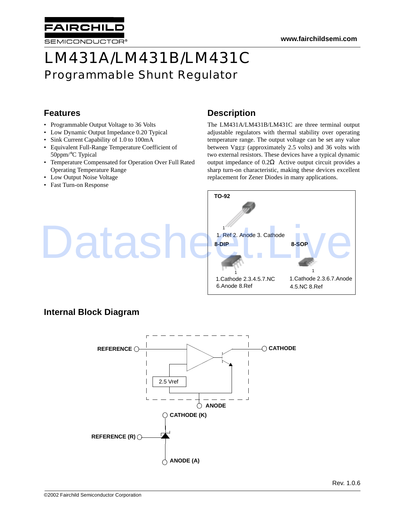# LM431A/LM431B/LM431C Programmable Shunt Regulator

### **Features**

- Programmable Output Voltage to 36 Volts
- Low Dynamic Output Impedance 0.20 Typical
- Sink Current Capability of 1.0 to 100mA
- Equivalent Full-Range Temperature Coefficient of 50ppm/°C Typical
- Temperature Compensated for Operation Over Full Rated Operating Temperature Range
- Low Output Noise Voltage

**AIRCHIL** 

SEMICONDUCTOR®

• Fast Turn-on Response

### **Description**

The LM431A/LM431B/LM431C are three terminal output adjustable regulators with thermal stability over operating temperature range. The output voltage can be set any value between VREF (approximately 2.5 volts) and 36 volts with two external resistors. These devices have a typical dynamic output impedance of 0.2Ω Active output circuit provides a sharp turn-on characteristic, making these devices excellent replacement for Zener Diodes in many applications.



### **Internal Block Diagram**

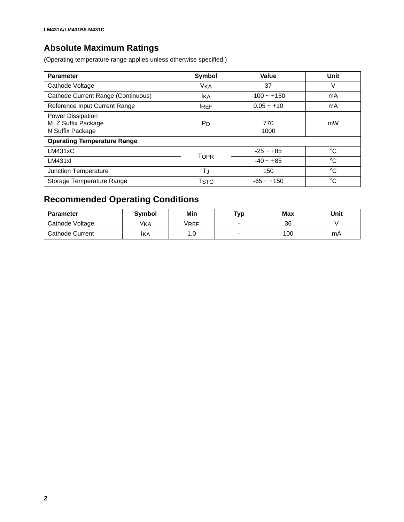### **Absolute Maximum Ratings**

(Operating temperature range applies unless otherwise specified.)

| <b>Parameter</b>                                                    | Symbol                | Value         | Unit        |
|---------------------------------------------------------------------|-----------------------|---------------|-------------|
| Cathode Voltage                                                     | <b>V<sub>KA</sub></b> | 37            | V           |
| Cathode Current Range (Continuous)                                  | Ika                   | $-100 - +150$ | mA          |
| Reference Input Current Range                                       | <b>IREF</b>           | $0.05 - +10$  | mA          |
| <b>Power Dissipation</b><br>M, Z Suffix Package<br>N Suffix Package | <b>P</b> <sub>D</sub> | 770<br>1000   | mW          |
| <b>Operating Temperature Range</b>                                  |                       |               |             |
| LM431xC                                                             | <b>TOPR</b>           | $-25 - +85$   | °C          |
| LM431xI                                                             |                       | $-40 - +85$   | °C          |
| Junction Temperature                                                | TJ                    | 150           | $^{\circ}C$ |
| Storage Temperature Range                                           | TSTG                  | $-65 - +150$  | $^{\circ}C$ |

## **Recommended Operating Conditions**

| <b>Parameter</b> | Symbol     | Min  | Typ | Max | Unit |
|------------------|------------|------|-----|-----|------|
| Cathode Voltage  | <b>VKA</b> | VREF |     | 36  |      |
| Cathode Current  | IKA        | ı.u  |     | 100 | mA   |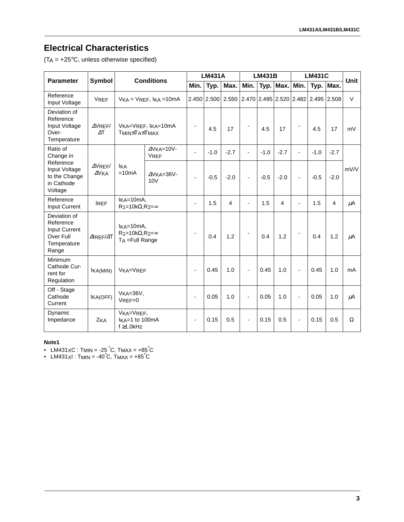## **Electrical Characteristics**

 $(T_A = +25^{\circ}C,$  unless otherwise specified)

| <b>Parameter</b>                                                                | <b>Conditions</b><br><b>Symbol</b> |                                                                  | <b>LM431A</b>                                |                          | <b>LM431B</b> |                |                          | <b>LM431C</b> |                |                          | <b>Unit</b>                         |             |                |
|---------------------------------------------------------------------------------|------------------------------------|------------------------------------------------------------------|----------------------------------------------|--------------------------|---------------|----------------|--------------------------|---------------|----------------|--------------------------|-------------------------------------|-------------|----------------|
|                                                                                 |                                    |                                                                  |                                              | Min.                     | Typ.          | Max.           | Min.                     | Typ.          | Max.           | Min.                     |                                     | Typ.   Max. |                |
| Reference<br>Input Voltage                                                      | <b>VREF</b>                        |                                                                  | $VKA = VREF$ , $IKA = 10mA$                  |                          | 2.450 2.500   | 2.550          |                          |               |                |                          | 2.470 2.495 2.520 2.482 2.495 2.508 |             | $\vee$         |
| Deviation of<br>Reference<br>Input Voltage<br>Over-<br>Temperature              | $\Delta$ VREF/<br>$\Delta T$       | VKA=VREF, IKA=10mA<br>TMIN≤TA≤TMAX                               |                                              | $\overline{\phantom{a}}$ | 4.5           | 17             |                          | 4.5           | 17             |                          | 4.5                                 | 17          | mV             |
| Ratio of<br>Change in                                                           |                                    |                                                                  | $\Delta$ VKA=10V-<br><b>VREF</b>             | $\overline{\phantom{0}}$ | $-1.0$        | $-2.7$         | $\overline{\phantom{a}}$ | $-1.0$        | $-2.7$         | ÷                        | $-1.0$                              | $-2.7$      |                |
| Reference<br>Input Voltage<br>to the Change<br>in Cathode<br>Voltage            | $\Delta$ VREF/<br>$\Delta$ VKA     | <b>IKA</b><br>$=10mA$                                            | $\Delta$ VKA=36V-<br>10V                     | $\blacksquare$           | $-0.5$        | $-2.0$         | $\blacksquare$           | $-0.5$        | $-2.0$         | $\overline{a}$           | $-0.5$                              | $-2.0$      | mV/V           |
| Reference<br>Input Current                                                      | <b>IREF</b>                        |                                                                  | IKA=10mA,<br>$R_1 = 10k\Omega, R_2 = \infty$ |                          | 1.5           | $\overline{4}$ | $\blacksquare$           | 1.5           | $\overline{4}$ | $\overline{a}$           | 1.5                                 | 4           | μA             |
| Deviation of<br>Reference<br>Input Current<br>Over Full<br>Temperature<br>Range | $\Delta$ IREF/ $\Delta$ T          | $IKA=10mA$<br>$R_1 = 10k\Omega, R_2 = \infty$<br>TA = Full Range |                                              |                          | 0.4           | 1.2            | $\overline{\phantom{a}}$ | 0.4           | 1.2            | $\overline{\phantom{a}}$ | 0.4                                 | 1.2         | μA             |
| Minimum<br>Cathode Cur-<br>rent for<br>Regulation                               | IKA(MIN)                           | VKA=VREF                                                         |                                              | $\blacksquare$           | 0.45          | 1.0            | $\overline{a}$           | 0.45          | 1.0            | L,                       | 0.45                                | 1.0         | m <sub>A</sub> |
| Off - Stage<br>Cathode<br>Current                                               | IKA(OFF)                           | $VKA=36V,$<br>$V$ REF=0                                          |                                              | $\overline{\phantom{a}}$ | 0.05          | 1.0            | $\overline{\phantom{a}}$ | 0.05          | 1.0            | $\overline{a}$           | 0.05                                | 1.0         | μA             |
| Dynamic<br>Impedance                                                            | ZKA                                | VKA=VREF,<br>IKA=1 to 100mA<br>$f \geq 1.0$ kHz                  |                                              | $\blacksquare$           | 0.15          | 0.5            | $\overline{\phantom{a}}$ | 0.15          | 0.5            | $\overline{\phantom{a}}$ | 0.15                                | 0.5         | Ω              |

#### **Note1**

• LM431 $\times$ C : Tmin = -25  $\degree$ C, Tma $\times$  = +85 $\degree$ C

• LM431 $\times$ I : TMIN = -40 $^{\circ}$ C, TMAX = +85 $^{\circ}$ C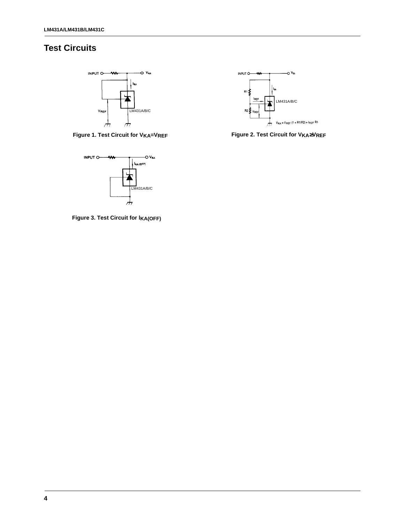## **Test Circuits**



**Figure 1. Test Circuit for VKA=VREF Figure 2. Test Circuit for VKA**≥**VREF**



**Figure 3. Test Circuit for lKA(OFF)**

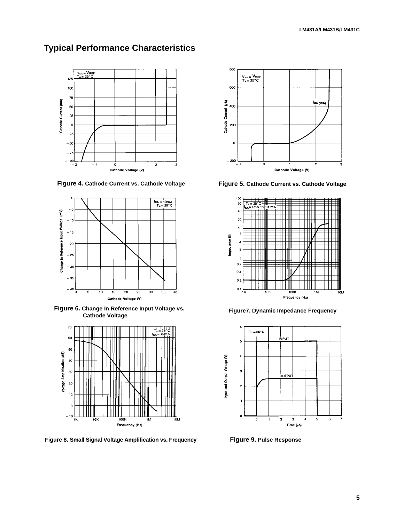### **Typical Performance Characteristics**



**Figure 4. Cathode Current vs. Cathode Voltage Figure 5. Cathode Current vs. Cathode Voltage**



**Figure 6. Change In Reference Input Voltage vs.** 



**Figure 8. Small Signal Voltage Amplification vs. Frequency Figure 9. Pulse Response**





**Figure7. Dynamic Impedance Frequency** 

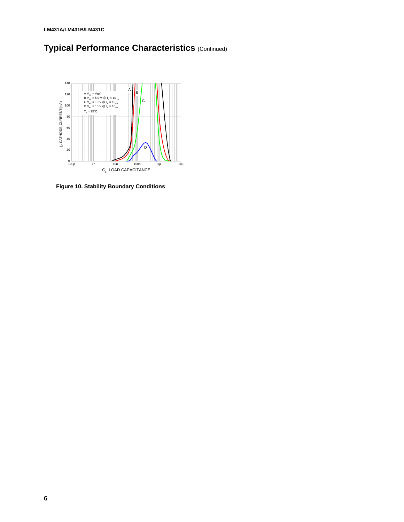



**Figure 10. Stability Boundary Conditions**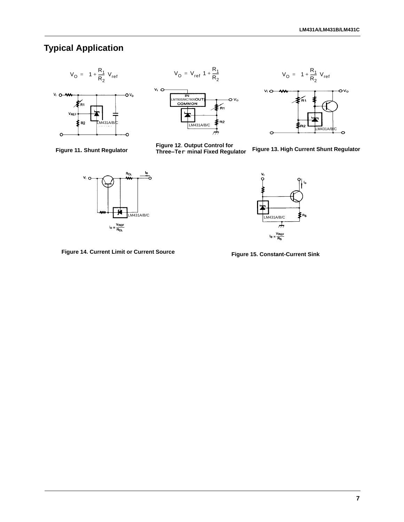## **Typical Application**









**Figure 11. Shunt Regulator Figure 12**. **Output Control for Three- Ter - minal Fixed Regulator** - **Figure 13. High Current Shunt Regulator**



**Figure 14. Current Limit or Current Source Figure 15. Constant-Current Sink**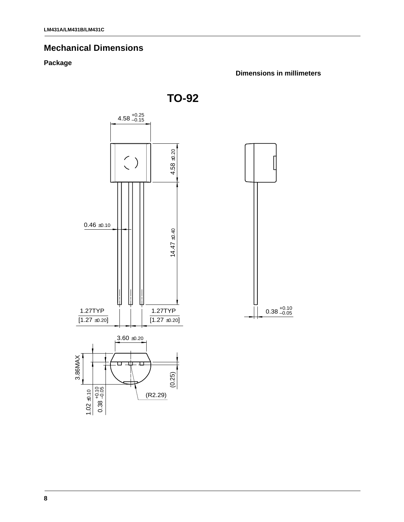#### **Mechanical Dimensions**

#### **Package**

**Dimensions in millimeters**

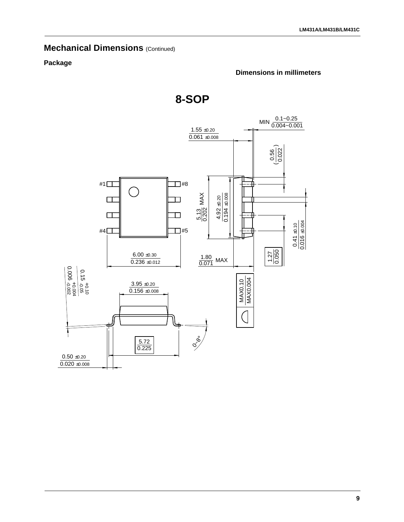#### **Mechanical Dimensions (Continued)**

#### **Package**

#### **Dimensions in millimeters**



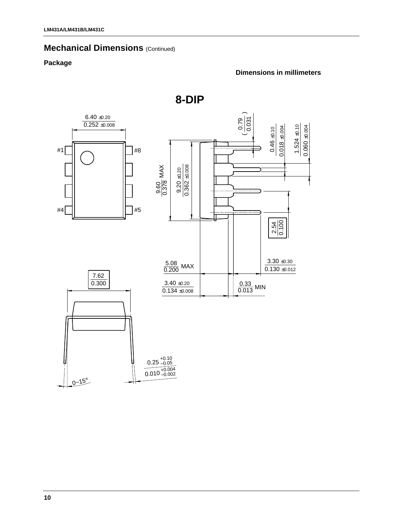## **Mechanical Dimensions (Continued)**

#### **Package**

#### **Dimensions in millimeters**



**8-DIP**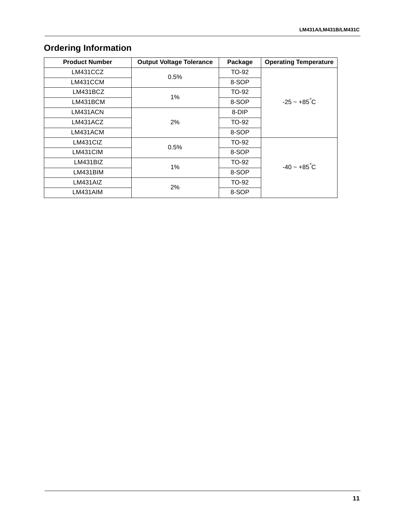## **Ordering Information**

| <b>Product Number</b> | <b>Output Voltage Tolerance</b> | Package      | <b>Operating Temperature</b> |  |
|-----------------------|---------------------------------|--------------|------------------------------|--|
| LM431CCZ              | 0.5%                            | TO-92        |                              |  |
| LM431CCM              |                                 | 8-SOP        |                              |  |
| LM431BCZ              | $1\%$                           | TO-92        |                              |  |
| LM431BCM              |                                 | 8-SOP        | $-25 - +85^{\circ}C$         |  |
| LM431ACN              |                                 | 8-DIP        |                              |  |
| LM431ACZ              | 2%                              | TO-92        |                              |  |
| LM431ACM              |                                 | 8-SOP        |                              |  |
| LM431CIZ              | 0.5%                            | TO-92        |                              |  |
| LM431CIM              |                                 | 8-SOP        |                              |  |
| LM431BIZ              | 1%                              | TO-92        | $-40 - +85^{\circ}C$         |  |
| LM431BIM              |                                 | 8-SOP        |                              |  |
| LM431AIZ              |                                 | <b>TO-92</b> |                              |  |
| LM431AIM              | 2%                              | 8-SOP        |                              |  |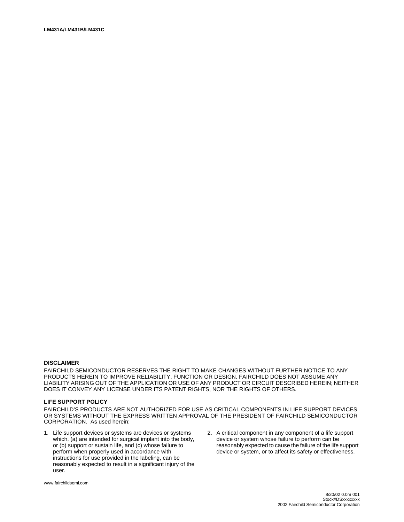#### **DISCLAIMER**

FAIRCHILD SEMICONDUCTOR RESERVES THE RIGHT TO MAKE CHANGES WITHOUT FURTHER NOTICE TO ANY PRODUCTS HEREIN TO IMPROVE RELIABILITY, FUNCTION OR DESIGN. FAIRCHILD DOES NOT ASSUME ANY LIABILITY ARISING OUT OF THE APPLICATION OR USE OF ANY PRODUCT OR CIRCUIT DESCRIBED HEREIN; NEITHER DOES IT CONVEY ANY LICENSE UNDER ITS PATENT RIGHTS, NOR THE RIGHTS OF OTHERS.

#### **LIFE SUPPORT POLICY**

FAIRCHILD'S PRODUCTS ARE NOT AUTHORIZED FOR USE AS CRITICAL COMPONENTS IN LIFE SUPPORT DEVICES OR SYSTEMS WITHOUT THE EXPRESS WRITTEN APPROVAL OF THE PRESIDENT OF FAIRCHILD SEMICONDUCTOR CORPORATION. As used herein:

- 1. Life support devices or systems are devices or systems which,  $(a)$  are intended for surgical implant into the body, or (b) support or sustain life, and (c) whose failure to perform when properly used in accordance with instructions for use provided in the labeling, can be reasonably expected to result in a significant injury of the user.
- 2. A critical component in any component of a life support device or system whose failure to perform can be reasonably expected to cause the failure of the life support device or system, or to affect its safety or effectiveness.

www.fairchildsemi.com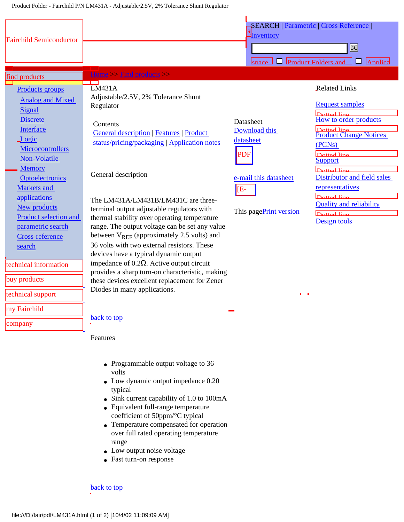<span id="page-12-0"></span>

| <b>Fairchild Semiconductor</b>                                                                                                                                                          |                                                                                                                                                                                                                                                                                                                                                                                                                                                                                                                                                   | Inventory                         | <b>SEARCH   Parametric   Cross Reference  </b>                                                |  |  |
|-----------------------------------------------------------------------------------------------------------------------------------------------------------------------------------------|---------------------------------------------------------------------------------------------------------------------------------------------------------------------------------------------------------------------------------------------------------------------------------------------------------------------------------------------------------------------------------------------------------------------------------------------------------------------------------------------------------------------------------------------------|-----------------------------------|-----------------------------------------------------------------------------------------------|--|--|
|                                                                                                                                                                                         |                                                                                                                                                                                                                                                                                                                                                                                                                                                                                                                                                   | G                                 |                                                                                               |  |  |
|                                                                                                                                                                                         |                                                                                                                                                                                                                                                                                                                                                                                                                                                                                                                                                   | П<br>cnace                        | <b>Product Folders and</b><br><b>Applica</b><br>l 1                                           |  |  |
| find products                                                                                                                                                                           | Home $\ge$ Find products $\ge$<br>┳                                                                                                                                                                                                                                                                                                                                                                                                                                                                                                               |                                   |                                                                                               |  |  |
| Products groups<br><b>Analog and Mixed</b><br>Signal<br><b>Discrete</b>                                                                                                                 | LM431A<br>Adjustable/2.5V, 2% Tolerance Shunt<br>Regulator<br>Contents                                                                                                                                                                                                                                                                                                                                                                                                                                                                            | Datasheet                         | <b>Related Links</b><br><b>Request samples</b><br>Dotted line<br>How to order products        |  |  |
| Interface<br>Logic<br>Microcontrollers<br>Non-Volatile                                                                                                                                  | <b>General description   Features   Product</b><br>status/pricing/packaging   Application notes                                                                                                                                                                                                                                                                                                                                                                                                                                                   | Download this<br>datasheet<br>PDF | Dotted line<br>Product Change Notices<br>(PCN <sub>s</sub> )<br>Dotted line<br><b>Support</b> |  |  |
| <b>Memory</b><br><b>Optoelectronics</b><br>Markets and<br>applications                                                                                                                  | General description                                                                                                                                                                                                                                                                                                                                                                                                                                                                                                                               | e-mail this datasheet<br>E-       | $\Gamma$ Dotted line<br>Distributor and field sales<br>representatives<br>Dotted line         |  |  |
| New products<br><b>Product selection and</b><br>parametric search<br>Cross-reference<br>search<br>technical information<br>buy products<br>technical support<br>my Fairchild<br>company | The LM431A/LM431B/LM431C are three-<br>terminal output adjustable regulators with<br>thermal stability over operating temperature<br>range. The output voltage can be set any value<br>between $V_{REF}$ (approximately 2.5 volts) and<br>36 volts with two external resistors. These<br>devices have a typical dynamic output<br>impedance of $0.2\Omega$ . Active output circuit<br>provides a sharp turn-on characteristic, making<br>these devices excellent replacement for Zener<br>Diodes in many applications.<br>back to top<br>Features | This pagePrint version            | <b>Quality and reliability</b><br>Dotted line<br>Design tools                                 |  |  |
|                                                                                                                                                                                         | • Programmable output voltage to 36<br>volts<br>• Low dynamic output impedance 0.20<br>typical<br>• Sink current capability of 1.0 to 100mA<br>• Equivalent full-range temperature<br>coefficient of 50ppm/°C typical<br>Temperature compensated for operation<br>over full rated operating temperature<br>range<br>• Low output noise voltage<br>• Fast turn-on response<br>back to top                                                                                                                                                          |                                   |                                                                                               |  |  |

- Programmable output voltage to 36 volts
- Low dynamic output impedance 0.20 typical
- Sink current capability of 1.0 to 100mA
- Equivalent full-range temperature coefficient of 50ppm/°C typical
- Temperature compensated for operation over full rated operating temperature range
- Low output noise voltage
- Fast turn-on response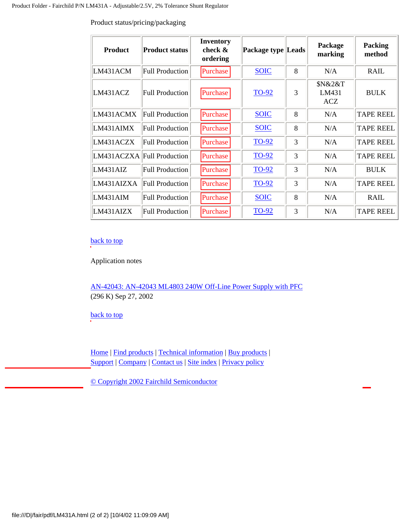| <b>Product</b>             | <b>Product status</b>  | <b>Inventory</b><br>check $\&$<br>ordering | Package type Leads |   | Package<br>marking             | <b>Packing</b><br>method |
|----------------------------|------------------------|--------------------------------------------|--------------------|---|--------------------------------|--------------------------|
| LM431ACM                   | <b>Full Production</b> | Purchase                                   | <b>SOIC</b>        | 8 | N/A                            | <b>RAIL</b>              |
| LM431ACZ                   | <b>Full Production</b> | Purchase                                   | <b>TO-92</b>       | 3 | \$N&2&T<br>LM431<br><b>ACZ</b> | <b>BULK</b>              |
| LM431ACMX                  | <b>Full Production</b> | Purchase                                   | <b>SOIC</b>        | 8 | N/A                            | <b>TAPE REEL</b>         |
| LM431AIMX                  | <b>Full Production</b> | Purchase                                   | <b>SOIC</b>        | 8 | N/A                            | <b>TAPE REEL</b>         |
| LM431ACZX                  | <b>Full Production</b> | Purchase                                   | <b>TO-92</b>       | 3 | N/A                            | <b>TAPE REEL</b>         |
| LM431ACZXA Full Production |                        | Purchase                                   | <b>TO-92</b>       | 3 | N/A                            | <b>TAPE REEL</b>         |
| LM431AIZ                   | <b>Full Production</b> | Purchase                                   | <b>TO-92</b>       | 3 | N/A                            | <b>BULK</b>              |
| LM431AIZXA                 | <b>Full Production</b> | Purchase                                   | <b>TO-92</b>       | 3 | N/A                            | <b>TAPE REEL</b>         |
| LM431AIM                   | <b>Full Production</b> | Purchase                                   | <b>SOIC</b>        | 8 | N/A                            | <b>RAIL</b>              |
| LM431AIZX                  | <b>Full Production</b> | Purchase                                   | <b>TO-92</b>       | 3 | N/A                            | <b>TAPE REEL</b>         |

<span id="page-13-0"></span>Product status/pricing/packaging

#### [back to top](#page-12-0)

Application notes

[AN-42043: AN-42043 ML4803 240W Off-Line Power Supply with PFC](file:///an/AN/AN-42043.pdf) (296 K) Sep 27, 2002

[back to top](#page-12-0)

[Home](file:///) | [Find products](file:///products/) | [Technical information](file:///technical_information/) | [Buy products](file:///buy_products/) | [Support](file:///webteam/tsg.jsp) | [Company](file:///company/) | [Contact us](file:///cf/) | [Site index](file:///contents.html) | [Privacy policy](file:///company/privacy.html)

[© Copyright 2002 Fairchild Semiconductor](file:///legal/index.html)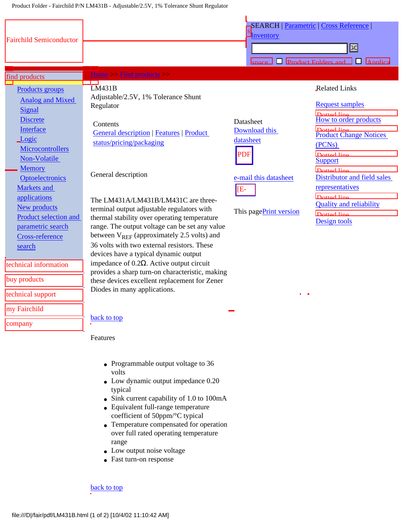<span id="page-14-0"></span>

| <b>Fairchild Semiconductor</b>                                                                                                                                                                                                                                                                                                                                                                         |                                                                                                                                                                                                                                                                                                                                                                                                                                                                                                                                                                                                                                                                                                                                                                                                                                                                                                                                                                                                                                                                                                                                         | Inventory<br>enace                                                                                              | <b>SEARCH   Parametric   Cross Reference</b><br>bd<br><b>Product Folders and</b><br>H<br>Annlica                                                                                                                                                                                                                                                         |
|--------------------------------------------------------------------------------------------------------------------------------------------------------------------------------------------------------------------------------------------------------------------------------------------------------------------------------------------------------------------------------------------------------|-----------------------------------------------------------------------------------------------------------------------------------------------------------------------------------------------------------------------------------------------------------------------------------------------------------------------------------------------------------------------------------------------------------------------------------------------------------------------------------------------------------------------------------------------------------------------------------------------------------------------------------------------------------------------------------------------------------------------------------------------------------------------------------------------------------------------------------------------------------------------------------------------------------------------------------------------------------------------------------------------------------------------------------------------------------------------------------------------------------------------------------------|-----------------------------------------------------------------------------------------------------------------|----------------------------------------------------------------------------------------------------------------------------------------------------------------------------------------------------------------------------------------------------------------------------------------------------------------------------------------------------------|
| find products                                                                                                                                                                                                                                                                                                                                                                                          | Home $>$ Find products $>$                                                                                                                                                                                                                                                                                                                                                                                                                                                                                                                                                                                                                                                                                                                                                                                                                                                                                                                                                                                                                                                                                                              |                                                                                                                 |                                                                                                                                                                                                                                                                                                                                                          |
| Products groups<br><b>Analog and Mixed</b><br>Signal<br><b>Discrete</b><br>Interface<br>Logic<br>Microcontrollers<br>Non-Volatile<br><b>Memory</b><br><b>Optoelectronics</b><br><b>Markets</b> and<br>applications<br>New products<br>Product selection and<br>parametric search<br>Cross-reference<br>search<br>technical information<br>buy products<br>technical support<br>my Fairchild<br>company | LM431B<br>Adjustable/2.5V, 1% Tolerance Shunt<br>Regulator<br>Contents<br><b>General description   Features   Product</b><br>status/pricing/packaging<br>General description<br>The LM431A/LM431B/LM431C are three-<br>terminal output adjustable regulators with<br>thermal stability over operating temperature<br>range. The output voltage can be set any value<br>between $V_{REF}$ (approximately 2.5 volts) and<br>36 volts with two external resistors. These<br>devices have a typical dynamic output<br>impedance of $0.2\Omega$ . Active output circuit<br>provides a sharp turn-on characteristic, making<br>these devices excellent replacement for Zener<br>Diodes in many applications.<br>back to top<br>Features<br>• Programmable output voltage to 36<br>volts<br>$\bullet$ Low dynamic output impedance $0.20$<br>typical<br>• Sink current capability of 1.0 to 100mA<br>• Equivalent full-range temperature<br>coefficient of 50ppm/°C typical<br>Temperature compensated for operation<br>over full rated operating temperature<br>range<br>• Low output noise voltage<br>• Fast turn-on response<br>back to top | Datasheet<br>Download this<br>datasheet<br><b>PDF</b><br>e-mail this datasheet<br>[E-<br>This pagePrint version | <b>Related Links</b><br><b>Request samples</b><br>Dotted line<br>How to order products<br>Dotted line<br><b>Product Change Notices</b><br>(PCN <sub>s</sub> )<br>Dotted line<br><b>Support</b><br>$\Gamma$ Dotted line<br>Distributor and field sales<br>representatives<br>Dotted line<br><b>Quality and reliability</b><br>Dotted line<br>Design tools |

- Programmable output voltage to 36 volts
- Low dynamic output impedance 0.20 typical
- Sink current capability of 1.0 to 100mA
- Equivalent full-range temperature coefficient of 50ppm/°C typical
- Temperature compensated for operation over full rated operating temperature range
- Low output noise voltage
- Fast turn-on response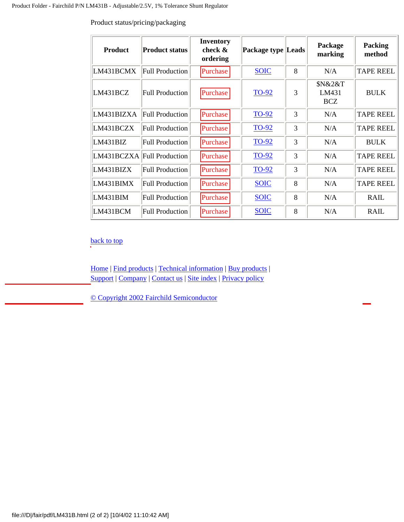| <b>Product</b> | <b>Product status</b>      | <b>Inventory</b><br>check $\&$<br>ordering | Package type Leads |   | Package<br>marking             | <b>Packing</b><br>method |
|----------------|----------------------------|--------------------------------------------|--------------------|---|--------------------------------|--------------------------|
| LM431BCMX      | <b>Full Production</b>     | Purchase                                   | <b>SOIC</b>        | 8 | N/A                            | <b>TAPE REEL</b>         |
| LM431BCZ       | <b>Full Production</b>     | Purchase                                   | TO-92              | 3 | \$N&2&T<br>LM431<br><b>BCZ</b> | <b>BULK</b>              |
| LM431BIZXA     | Full Production            | Purchase                                   | <b>TO-92</b>       | 3 | N/A                            | <b>TAPE REEL</b>         |
| LM431BCZX      | <b>Full Production</b>     | Purchase                                   | <b>TO-92</b>       | 3 | N/A                            | <b>TAPE REEL</b>         |
| LM431BIZ       | Full Production            | Purchase                                   | <b>TO-92</b>       | 3 | N/A                            | <b>BULK</b>              |
|                | LM431BCZXA Full Production | Purchase                                   | <b>TO-92</b>       | 3 | N/A                            | <b>TAPE REEL</b>         |
| LM431BIZX      | <b>Full Production</b>     | Purchase                                   | <b>TO-92</b>       | 3 | N/A                            | <b>TAPE REEL</b>         |
| LM431BIMX      | <b>Full Production</b>     | Purchase                                   | <b>SOIC</b>        | 8 | N/A                            | <b>TAPE REEL</b>         |
| LM431BIM       | <b>Full Production</b>     | Purchase                                   | <b>SOIC</b>        | 8 | N/A                            | <b>RAIL</b>              |
| LM431BCM       | Full Production            | Purchase                                   | <b>SOIC</b>        | 8 | N/A                            | <b>RAIL</b>              |

<span id="page-15-0"></span>Product status/pricing/packaging

[back to top](#page-14-0)

[Home](file:///) | [Find products](file:///products/) | [Technical information](file:///technical_information/) | [Buy products](file:///buy_products/) | [Support](file:///webteam/tsg.jsp) | [Company](file:///company/) | [Contact us](file:///cf/) | [Site index](file:///contents.html) | [Privacy policy](file:///company/privacy.html)

[© Copyright 2002 Fairchild Semiconductor](file:///legal/index.html)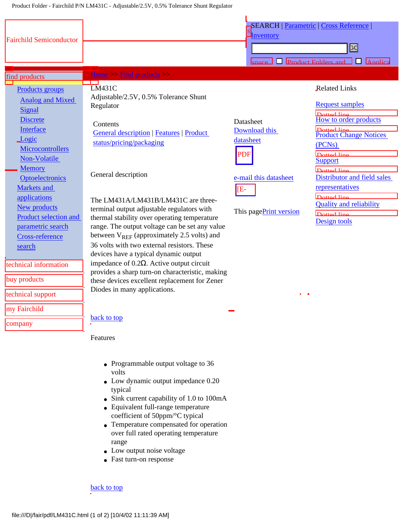<span id="page-16-0"></span>

|                                                                                                                                                                                                                                                                                                                                                                                                        |                                                                                                                                                                                                                                                                                                                                                                                                                                                                                                                                                                                                                                                                                                                                                                                                                                                                                                                                                                                                                                                                                                                                                 | <b>I</b> nventory                                                                                               | <b>SEARCH   Parametric   Cross Reference  </b>                                                                                                                                                                                                                                                                                                  |
|--------------------------------------------------------------------------------------------------------------------------------------------------------------------------------------------------------------------------------------------------------------------------------------------------------------------------------------------------------------------------------------------------------|-------------------------------------------------------------------------------------------------------------------------------------------------------------------------------------------------------------------------------------------------------------------------------------------------------------------------------------------------------------------------------------------------------------------------------------------------------------------------------------------------------------------------------------------------------------------------------------------------------------------------------------------------------------------------------------------------------------------------------------------------------------------------------------------------------------------------------------------------------------------------------------------------------------------------------------------------------------------------------------------------------------------------------------------------------------------------------------------------------------------------------------------------|-----------------------------------------------------------------------------------------------------------------|-------------------------------------------------------------------------------------------------------------------------------------------------------------------------------------------------------------------------------------------------------------------------------------------------------------------------------------------------|
| <b>Fairchild Semiconductor</b>                                                                                                                                                                                                                                                                                                                                                                         |                                                                                                                                                                                                                                                                                                                                                                                                                                                                                                                                                                                                                                                                                                                                                                                                                                                                                                                                                                                                                                                                                                                                                 |                                                                                                                 | B                                                                                                                                                                                                                                                                                                                                               |
|                                                                                                                                                                                                                                                                                                                                                                                                        |                                                                                                                                                                                                                                                                                                                                                                                                                                                                                                                                                                                                                                                                                                                                                                                                                                                                                                                                                                                                                                                                                                                                                 |                                                                                                                 | <b>Product Folders and</b><br>$\mathbf{L}$<br><b>Annlica</b>                                                                                                                                                                                                                                                                                    |
| find products                                                                                                                                                                                                                                                                                                                                                                                          | $Home>> Find products$                                                                                                                                                                                                                                                                                                                                                                                                                                                                                                                                                                                                                                                                                                                                                                                                                                                                                                                                                                                                                                                                                                                          |                                                                                                                 |                                                                                                                                                                                                                                                                                                                                                 |
| Products groups<br><b>Analog and Mixed</b><br>Signal<br><b>Discrete</b><br>Interface<br>Logic<br>Microcontrollers<br>Non-Volatile<br><b>Memory</b><br><b>Optoelectronics</b><br>Markets and<br>applications<br>New products<br>Product selection and<br>parametric search<br><b>Cross-reference</b><br>search<br>technical information<br>buy products<br>technical support<br>my Fairchild<br>company | <b>TET</b><br><b>LM431C</b><br>Adjustable/2.5V, 0.5% Tolerance Shunt<br>Regulator<br>Contents<br><b>General description   Features   Product</b><br>status/pricing/packaging<br>General description<br>The LM431A/LM431B/LM431C are three-<br>terminal output adjustable regulators with<br>thermal stability over operating temperature<br>range. The output voltage can be set any value<br>between $V_{REF}$ (approximately 2.5 volts) and<br>36 volts with two external resistors. These<br>devices have a typical dynamic output<br>impedance of $0.2\Omega$ . Active output circuit<br>provides a sharp turn-on characteristic, making<br>these devices excellent replacement for Zener<br>Diodes in many applications.<br>back to top<br>Features<br>• Programmable output voltage to 36<br>volts<br>$\bullet$ Low dynamic output impedance $0.20$<br>typical<br>• Sink current capability of 1.0 to 100mA<br>• Equivalent full-range temperature<br>coefficient of 50ppm/°C typical<br>• Temperature compensated for operation<br>over full rated operating temperature<br>range<br>Low output noise voltage<br>• Fast turn-on response | Datasheet<br>Download this<br>datasheet<br><b>PDF</b><br>e-mail this datasheet<br>[E-<br>This pagePrint version | <b>Related Links</b><br><b>Request samples</b><br>Dotted line<br>How to order products<br>Dotted line<br><b>Product Change Notices</b><br>(PCN <sub>s</sub> )<br>Dotted line<br><b>Support</b><br>Dotted line<br>Distributor and field sales<br>representatives<br>Dotted line<br><b>Quality and reliability</b><br>Dotted line<br>Design tools |
|                                                                                                                                                                                                                                                                                                                                                                                                        | <b>back</b> to top                                                                                                                                                                                                                                                                                                                                                                                                                                                                                                                                                                                                                                                                                                                                                                                                                                                                                                                                                                                                                                                                                                                              |                                                                                                                 |                                                                                                                                                                                                                                                                                                                                                 |
|                                                                                                                                                                                                                                                                                                                                                                                                        |                                                                                                                                                                                                                                                                                                                                                                                                                                                                                                                                                                                                                                                                                                                                                                                                                                                                                                                                                                                                                                                                                                                                                 |                                                                                                                 |                                                                                                                                                                                                                                                                                                                                                 |

- Programmable output voltage to 36 volts
- Low dynamic output impedance 0.20 typical
- Sink current capability of 1.0 to 100mA
- Equivalent full-range temperature coefficient of 50ppm/°C typical
- Temperature compensated for operation over full rated operating temperature range
- Low output noise voltage
- Fast turn-on response